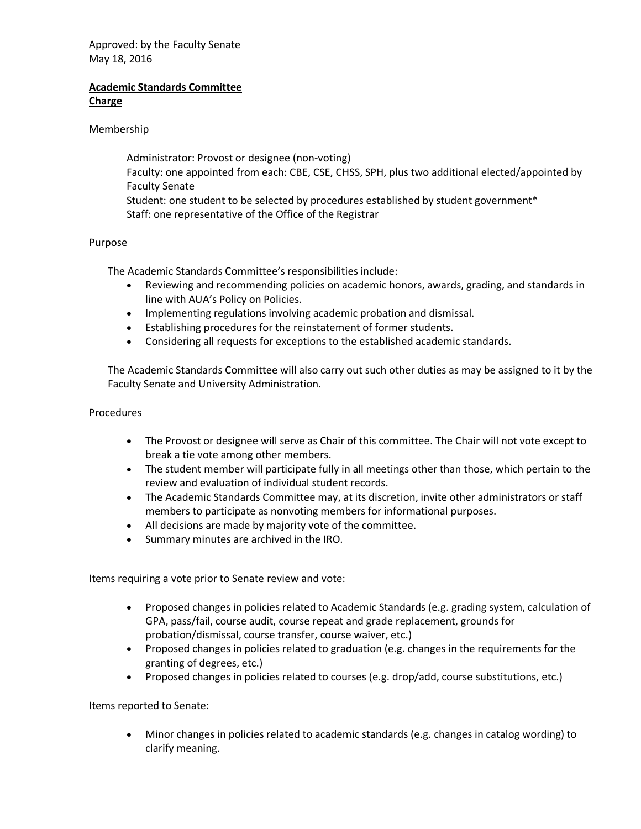Approved: by the Faculty Senate May 18, 2016

## **Academic Standards Committee Charge**

Membership

Administrator: Provost or designee (non-voting) Faculty: one appointed from each: CBE, CSE, CHSS, SPH, plus two additional elected/appointed by Faculty Senate Student: one student to be selected by procedures established by student government\* Staff: one representative of the Office of the Registrar

## Purpose

The Academic Standards Committee's responsibilities include:

- Reviewing and recommending policies on academic honors, awards, grading, and standards in line with AUA's Policy on Policies.
- Implementing regulations involving academic probation and dismissal.
- Establishing procedures for the reinstatement of former students.
- Considering all requests for exceptions to the established academic standards.

The Academic Standards Committee will also carry out such other duties as may be assigned to it by the Faculty Senate and University Administration.

## Procedures

- The Provost or designee will serve as Chair of this committee. The Chair will not vote except to break a tie vote among other members.
- The student member will participate fully in all meetings other than those, which pertain to the review and evaluation of individual student records.
- The Academic Standards Committee may, at its discretion, invite other administrators or staff members to participate as nonvoting members for informational purposes.
- All decisions are made by majority vote of the committee.
- Summary minutes are archived in the IRO.

Items requiring a vote prior to Senate review and vote:

- Proposed changes in policies related to Academic Standards (e.g. grading system, calculation of GPA, pass/fail, course audit, course repeat and grade replacement, grounds for probation/dismissal, course transfer, course waiver, etc.)
- Proposed changes in policies related to graduation (e.g. changes in the requirements for the granting of degrees, etc.)
- Proposed changes in policies related to courses (e.g. drop/add, course substitutions, etc.)

Items reported to Senate:

• Minor changes in policies related to academic standards (e.g. changes in catalog wording) to clarify meaning.